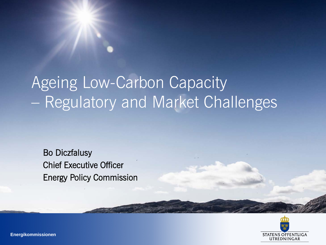## Ageing Low-Carbon Capacity – Regulatory and Market Challenges

Bo Diczfalusy Chief Executive Officer Energy Policy Commission



**Energikommissionen**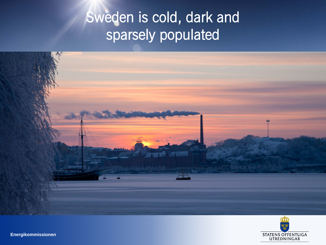#### Sweden is cold, dark and sparsely populated





**Energikommissionen**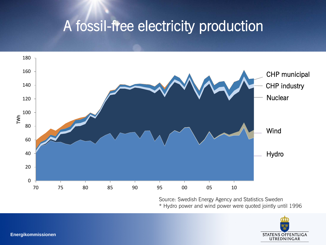#### A fossil-free electricity production



Source: Swedish Energy Agency and Statistics Sweden \* Hydro power and wind power were quoted jointly until 1996

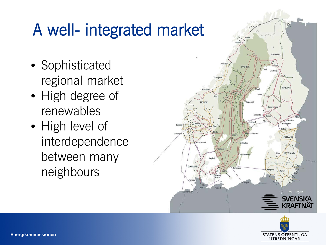## A well- integrated market

- Sophisticated regional market
- High degree of renewables
- High level of interdependence between many neighbours



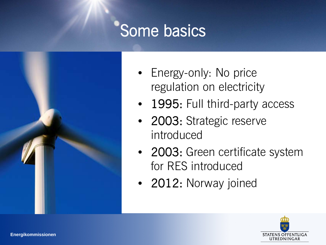### Some basics



- Energy-only: No price regulation on electricity
- 1995: Full third-party access
- 2003: Strategic reserve introduced
- 2003: Green certificate system for RES introduced
- 2012: Norway joined

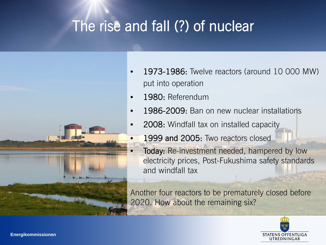#### The rise and fall (?) of nuclear



- 1973-1986: Twelve reactors (around 10 000 MW) put into operation
- 1980: Referendum
- 1986-2009: Ban on new nuclear installations
- 2008: Windfall tax on installed capacity
	- 1999 and 2005: Two reactors closed
	- Today: Re-investment needed, hampered by low electricity prices, Post-Fukushima safety standards and windfall tax

Another four reactors to be prematurely closed before 2020. How about the remaining six?

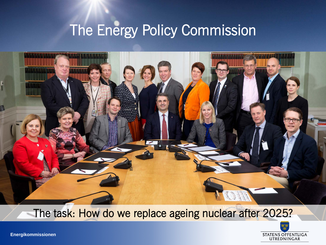#### The Energy Policy Commission



#### The task: How do we replace ageing nuclear after 2025?



**Energikommissionen**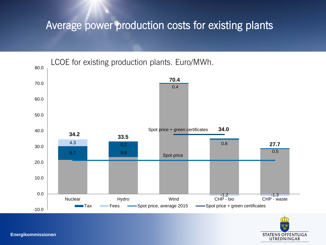#### Average power production costs for existing plants



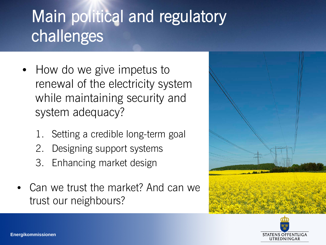## Main political and regulatory challenges

- How do we give impetus to renewal of the electricity system while maintaining security and system adequacy?
	- Setting a credible long-term goal
	- 2. Designing support systems
	- 3. Enhancing market design
- Can we trust the market? And can we trust our neighbours?



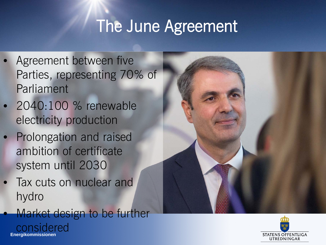### The June Agreement

- Agreement between five Parties, representing 70% of Parliament
- 2040:100 % renewable electricity production
- Prolongation and raised ambition of certificate system until 2030
- Tax cuts on nuclear and hydro
	- **Energikommissionen** Market design to be further considered